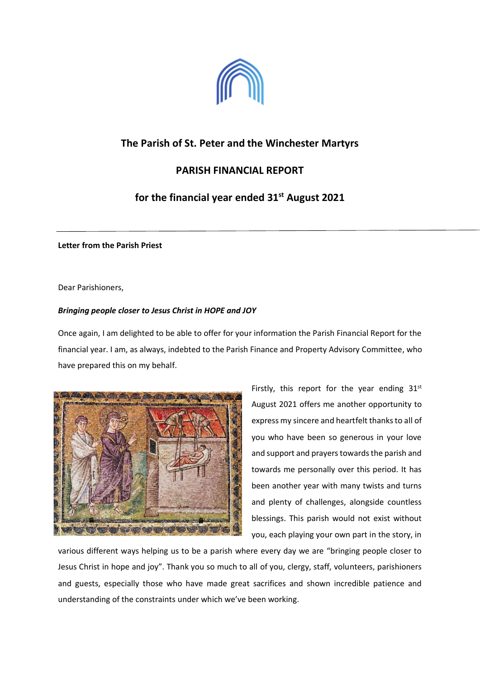

# **The Parish of St. Peter and the Winchester Martyrs**

## **PARISH FINANCIAL REPORT**

# **for the financial year ended 31st August 2021**

**Letter from the Parish Priest**

Dear Parishioners,

## *Bringing people closer to Jesus Christ in HOPE and JOY*

Once again, I am delighted to be able to offer for your information the Parish Financial Report for the financial year. I am, as always, indebted to the Parish Finance and Property Advisory Committee, who have prepared this on my behalf.



Firstly, this report for the year ending  $31^{st}$ August 2021 offers me another opportunity to express my sincere and heartfelt thanks to all of you who have been so generous in your love and support and prayers towards the parish and towards me personally over this period. It has been another year with many twists and turns and plenty of challenges, alongside countless blessings. This parish would not exist without you, each playing your own part in the story, in

various different ways helping us to be a parish where every day we are "bringing people closer to Jesus Christ in hope and joy". Thank you so much to all of you, clergy, staff, volunteers, parishioners and guests, especially those who have made great sacrifices and shown incredible patience and understanding of the constraints under which we've been working.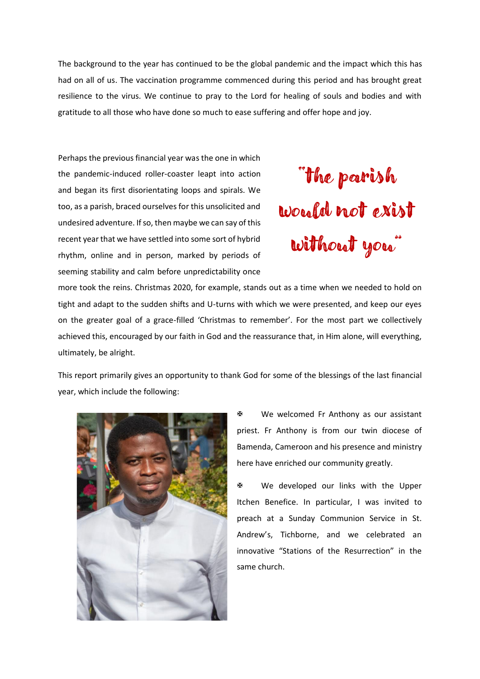The background to the year has continued to be the global pandemic and the impact which this has had on all of us. The vaccination programme commenced during this period and has brought great resilience to the virus. We continue to pray to the Lord for healing of souls and bodies and with gratitude to all those who have done so much to ease suffering and offer hope and joy.

Perhaps the previous financial year was the one in which the pandemic-induced roller-coaster leapt into action and began its first disorientating loops and spirals. We too, as a parish, braced ourselves for this unsolicited and undesired adventure. If so, then maybe we can say of this recent year that we have settled into some sort of hybrid rhythm, online and in person, marked by periods of seeming stability and calm before unpredictability once



more took the reins. Christmas 2020, for example, stands out as a time when we needed to hold on tight and adapt to the sudden shifts and U-turns with which we were presented, and keep our eyes on the greater goal of a grace-filled 'Christmas to remember'. For the most part we collectively achieved this, encouraged by our faith in God and the reassurance that, in Him alone, will everything, ultimately, be alright.

This report primarily gives an opportunity to thank God for some of the blessings of the last financial year, which include the following:



 We welcomed Fr Anthony as our assistant priest. Fr Anthony is from our twin diocese of Bamenda, Cameroon and his presence and ministry here have enriched our community greatly.

 We developed our links with the Upper Itchen Benefice. In particular, I was invited to preach at a Sunday Communion Service in St. Andrew's, Tichborne, and we celebrated an innovative "Stations of the Resurrection" in the same church.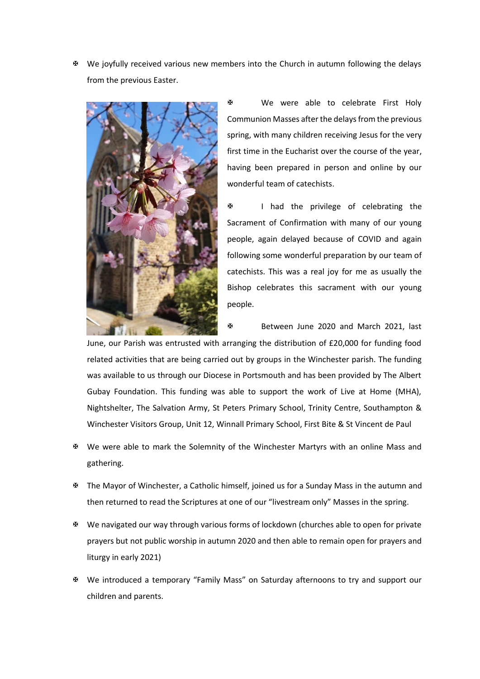We joyfully received various new members into the Church in autumn following the delays from the previous Easter.



 We were able to celebrate First Holy Communion Masses after the delays from the previous spring, with many children receiving Jesus for the very first time in the Eucharist over the course of the year, having been prepared in person and online by our wonderful team of catechists.

 I had the privilege of celebrating the Sacrament of Confirmation with many of our young people, again delayed because of COVID and again following some wonderful preparation by our team of catechists. This was a real joy for me as usually the Bishop celebrates this sacrament with our young people.

Between June 2020 and March 2021, last

June, our Parish was entrusted with arranging the distribution of £20,000 for funding food related activities that are being carried out by groups in the Winchester parish. The funding was available to us through our Diocese in Portsmouth and has been provided by The Albert Gubay Foundation. This funding was able to support the work of Live at Home (MHA), Nightshelter, The Salvation Army, St Peters Primary School, Trinity Centre, Southampton & Winchester Visitors Group, Unit 12, Winnall Primary School, First Bite & St Vincent de Paul

- We were able to mark the Solemnity of the Winchester Martyrs with an online Mass and gathering.
- The Mayor of Winchester, a Catholic himself, joined us for a Sunday Mass in the autumn and then returned to read the Scriptures at one of our "livestream only" Masses in the spring.
- We navigated our way through various forms of lockdown (churches able to open for private prayers but not public worship in autumn 2020 and then able to remain open for prayers and liturgy in early 2021)
- We introduced a temporary "Family Mass" on Saturday afternoons to try and support our children and parents.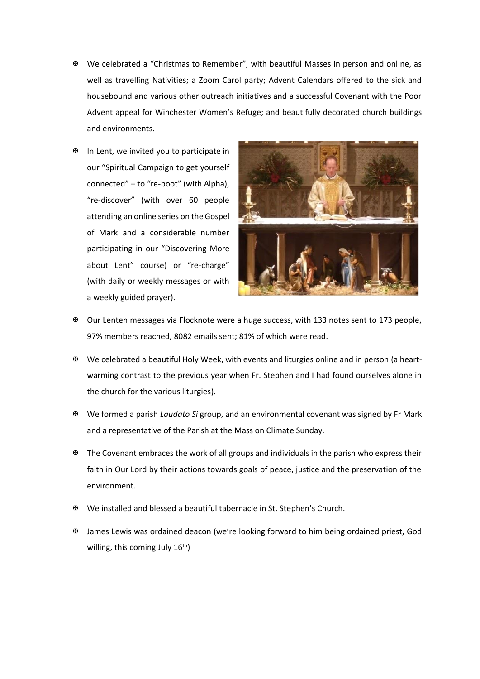- We celebrated a "Christmas to Remember", with beautiful Masses in person and online, as well as travelling Nativities; a Zoom Carol party; Advent Calendars offered to the sick and housebound and various other outreach initiatives and a successful Covenant with the Poor Advent appeal for Winchester Women's Refuge; and beautifully decorated church buildings and environments.
- $\mathfrak{B}$  In Lent, we invited you to participate in our "Spiritual Campaign to get yourself connected" – to "re-boot" (with Alpha), "re-discover" (with over 60 people attending an online series on the Gospel of Mark and a considerable number participating in our "Discovering More about Lent" course) or "re-charge" (with daily or weekly messages or with a weekly guided prayer).



- Our Lenten messages via Flocknote were a huge success, with 133 notes sent to 173 people, 97% members reached, 8082 emails sent; 81% of which were read.
- We celebrated a beautiful Holy Week, with events and liturgies online and in person (a heartwarming contrast to the previous year when Fr. Stephen and I had found ourselves alone in the church for the various liturgies).
- We formed a parish *Laudato Si* group, and an environmental covenant was signed by Fr Mark and a representative of the Parish at the Mass on Climate Sunday.
- $\mathbf{\Psi}$  The Covenant embraces the work of all groups and individuals in the parish who express their faith in Our Lord by their actions towards goals of peace, justice and the preservation of the environment.
- We installed and blessed a beautiful tabernacle in St. Stephen's Church.
- James Lewis was ordained deacon (we're looking forward to him being ordained priest, God willing, this coming July  $16<sup>th</sup>$ )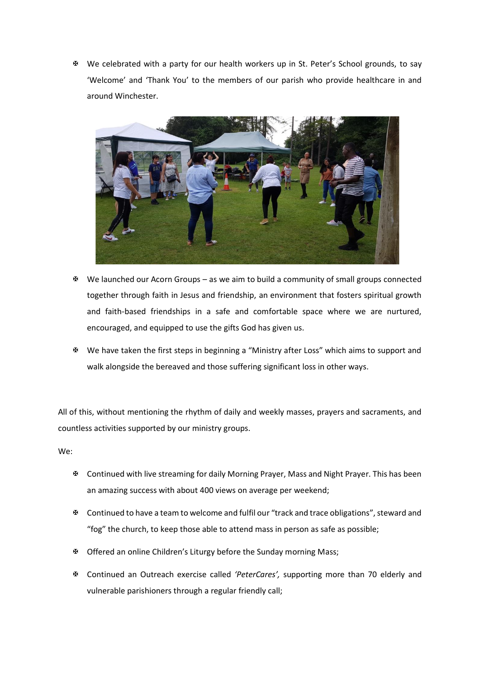We celebrated with a party for our health workers up in St. Peter's School grounds, to say 'Welcome' and 'Thank You' to the members of our parish who provide healthcare in and around Winchester.



- $\mathbb F$  We launched our Acorn Groups as we aim to build a community of small groups connected together through faith in Jesus and friendship, an environment that fosters spiritual growth and faith-based friendships in a safe and comfortable space where we are nurtured, encouraged, and equipped to use the gifts God has given us.
- We have taken the first steps in beginning a "Ministry after Loss" which aims to support and walk alongside the bereaved and those suffering significant loss in other ways.

All of this, without mentioning the rhythm of daily and weekly masses, prayers and sacraments, and countless activities supported by our ministry groups.

We:

- Continued with live streaming for daily Morning Prayer, Mass and Night Prayer. This has been an amazing success with about 400 views on average per weekend;
- Continued to have a team to welcome and fulfil our "track and trace obligations", steward and "fog" the church, to keep those able to attend mass in person as safe as possible;
- **EX** Offered an online Children's Liturgy before the Sunday morning Mass;
- Continued an Outreach exercise called *'PeterCares',* supporting more than 70 elderly and vulnerable parishioners through a regular friendly call;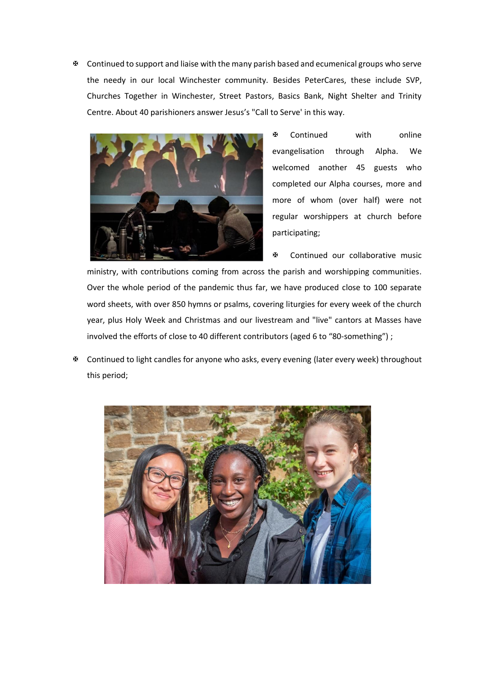**EX** Continued to support and liaise with the many parish based and ecumenical groups who serve the needy in our local Winchester community. Besides PeterCares, these include SVP, Churches Together in Winchester, Street Pastors, Basics Bank, Night Shelter and Trinity Centre. About 40 parishioners answer Jesus's "Call to Serve' in this way.



 Continued with online evangelisation through Alpha. We welcomed another 45 guests who completed our Alpha courses, more and more of whom (over half) were not regular worshippers at church before participating;

Continued our collaborative music

ministry, with contributions coming from across the parish and worshipping communities. Over the whole period of the pandemic thus far, we have produced close to 100 separate word sheets, with over 850 hymns or psalms, covering liturgies for every week of the church year, plus Holy Week and Christmas and our livestream and "live" cantors at Masses have involved the efforts of close to 40 different contributors (aged 6 to "80-something") ;

 Continued to light candles for anyone who asks, every evening (later every week) throughout this period;

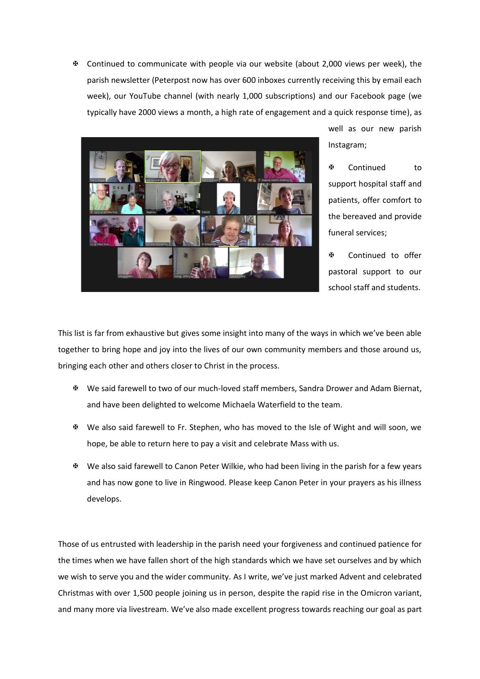$\mathfrak{B}$  Continued to communicate with people via our website (about 2,000 views per week), the parish newsletter (Peterpost now has over 600 inboxes currently receiving this by email each week), our YouTube channel (with nearly 1,000 subscriptions) and our Facebook page (we typically have 2000 views a month, a high rate of engagement and a quick response time), as



well as our new parish Instagram;

图 Continued to support hospital staff and patients, offer comfort to the bereaved and provide funeral services;

 Continued to offer pastoral support to our school staff and students.

This list is far from exhaustive but gives some insight into many of the ways in which we've been able together to bring hope and joy into the lives of our own community members and those around us, bringing each other and others closer to Christ in the process.

- We said farewell to two of our much-loved staff members, Sandra Drower and Adam Biernat, and have been delighted to welcome Michaela Waterfield to the team.
- We also said farewell to Fr. Stephen, who has moved to the Isle of Wight and will soon, we hope, be able to return here to pay a visit and celebrate Mass with us.
- We also said farewell to Canon Peter Wilkie, who had been living in the parish for a few years and has now gone to live in Ringwood. Please keep Canon Peter in your prayers as his illness develops.

Those of us entrusted with leadership in the parish need your forgiveness and continued patience for the times when we have fallen short of the high standards which we have set ourselves and by which we wish to serve you and the wider community. As I write, we've just marked Advent and celebrated Christmas with over 1,500 people joining us in person, despite the rapid rise in the Omicron variant, and many more via livestream. We've also made excellent progress towards reaching our goal as part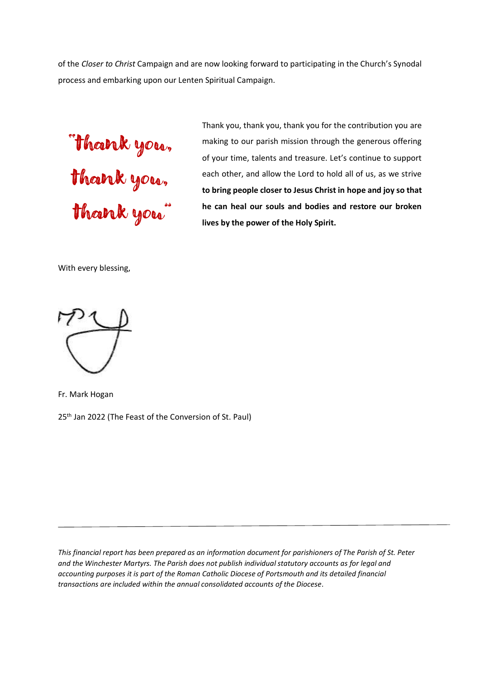of the *Closer to Christ* Campaign and are now looking forward to participating in the Church's Synodal process and embarking upon our Lenten Spiritual Campaign.

"thank you, thank you, thank you"

Thank you, thank you, thank you for the contribution you are making to our parish mission through the generous offering of your time, talents and treasure. Let's continue to support each other, and allow the Lord to hold all of us, as we strive **to bring people closer to Jesus Christ in hope and joy so that he can heal our souls and bodies and restore our broken lives by the power of the Holy Spirit.**

With every blessing,



Fr. Mark Hogan

25<sup>th</sup> Jan 2022 (The Feast of the Conversion of St. Paul)

*This financial report has been prepared as an information document for parishioners of The Parish of St. Peter and the Winchester Martyrs. The Parish does not publish individual statutory accounts as for legal and accounting purposes it is part of the Roman Catholic Diocese of Portsmouth and its detailed financial transactions are included within the annual consolidated accounts of the Diocese.*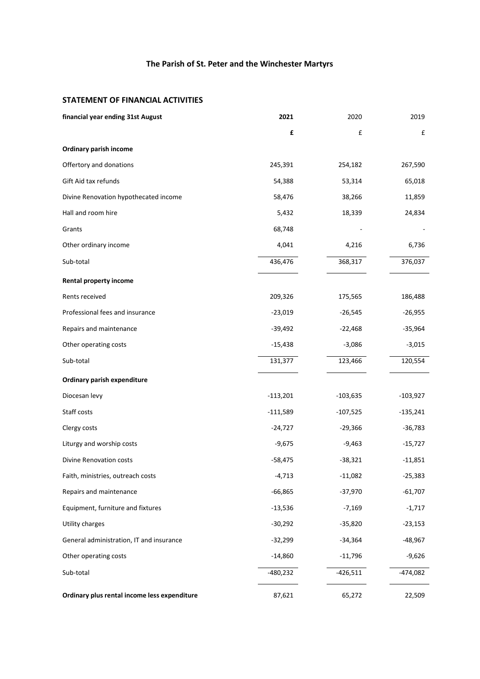# **The Parish of St. Peter and the Winchester Martyrs**

## **STATEMENT OF FINANCIAL ACTIVITIES**

| financial year ending 31st August            | 2021       | 2020       | 2019       |
|----------------------------------------------|------------|------------|------------|
|                                              | £          | £          | £          |
| Ordinary parish income                       |            |            |            |
| Offertory and donations                      | 245,391    | 254,182    | 267,590    |
| Gift Aid tax refunds                         | 54,388     | 53,314     | 65,018     |
| Divine Renovation hypothecated income        | 58,476     | 38,266     | 11,859     |
| Hall and room hire                           | 5,432      | 18,339     | 24,834     |
| Grants                                       | 68,748     |            |            |
| Other ordinary income                        | 4,041      | 4,216      | 6,736      |
| Sub-total                                    | 436,476    | 368,317    | 376,037    |
| Rental property income                       |            |            |            |
| Rents received                               | 209,326    | 175,565    | 186,488    |
| Professional fees and insurance              | $-23,019$  | $-26,545$  | $-26,955$  |
| Repairs and maintenance                      | $-39,492$  | $-22,468$  | $-35,964$  |
| Other operating costs                        | $-15,438$  | $-3,086$   | $-3,015$   |
| Sub-total                                    | 131,377    | 123,466    | 120,554    |
| Ordinary parish expenditure                  |            |            |            |
| Diocesan levy                                | $-113,201$ | $-103,635$ | $-103,927$ |
| Staff costs                                  | $-111,589$ | $-107,525$ | $-135,241$ |
| Clergy costs                                 | $-24,727$  | $-29,366$  | $-36,783$  |
| Liturgy and worship costs                    | $-9,675$   | $-9,463$   | $-15,727$  |
| <b>Divine Renovation costs</b>               | $-58,475$  | $-38,321$  | -11,851    |
| Faith, ministries, outreach costs            | -4,713     | $-11,082$  | $-25,383$  |
| Repairs and maintenance                      | $-66,865$  | $-37,970$  | $-61,707$  |
| Equipment, furniture and fixtures            | $-13,536$  | $-7,169$   | $-1,717$   |
| Utility charges                              | $-30,292$  | $-35,820$  | $-23,153$  |
| General administration, IT and insurance     | $-32,299$  | $-34,364$  | $-48,967$  |
| Other operating costs                        | $-14,860$  | $-11,796$  | $-9,626$   |
| Sub-total                                    | $-480,232$ | $-426,511$ | $-474,082$ |
| Ordinary plus rental income less expenditure | 87,621     | 65,272     | 22,509     |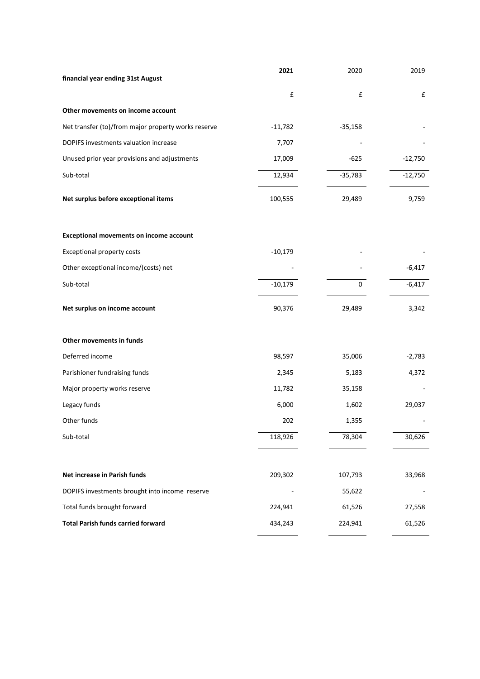| financial year ending 31st August                   | 2021      | 2020      | 2019      |
|-----------------------------------------------------|-----------|-----------|-----------|
|                                                     | £         | £         | £         |
| Other movements on income account                   |           |           |           |
| Net transfer (to)/from major property works reserve | $-11,782$ | $-35,158$ |           |
| DOPIFS investments valuation increase               | 7,707     |           |           |
| Unused prior year provisions and adjustments        | 17,009    | $-625$    | $-12,750$ |
| Sub-total                                           | 12,934    | $-35,783$ | $-12,750$ |
| Net surplus before exceptional items                | 100,555   | 29,489    | 9,759     |
| <b>Exceptional movements on income account</b>      |           |           |           |
| <b>Exceptional property costs</b>                   | $-10,179$ |           |           |
| Other exceptional income/(costs) net                |           |           | $-6,417$  |
| Sub-total                                           | $-10,179$ | 0         | $-6,417$  |
| Net surplus on income account                       | 90,376    | 29,489    | 3,342     |
| Other movements in funds                            |           |           |           |
| Deferred income                                     | 98,597    | 35,006    | $-2,783$  |
| Parishioner fundraising funds                       | 2,345     | 5,183     | 4,372     |
| Major property works reserve                        | 11,782    | 35,158    |           |
| Legacy funds                                        | 6,000     | 1,602     | 29,037    |
| Other funds                                         | 202       | 1,355     |           |
| Sub-total                                           | 118,926   | 78,304    | 30,626    |
| Net increase in Parish funds                        | 209,302   | 107,793   | 33,968    |
| DOPIFS investments brought into income reserve      |           | 55,622    |           |
| Total funds brought forward                         | 224,941   | 61,526    | 27,558    |
| <b>Total Parish funds carried forward</b>           | 434,243   | 224,941   | 61,526    |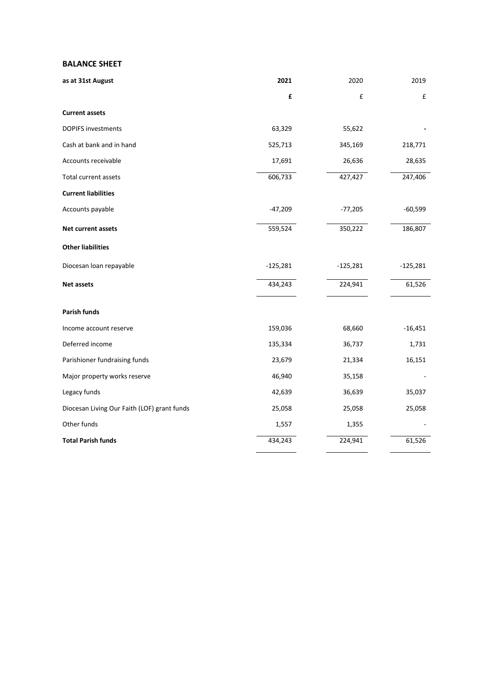## **BALANCE SHEET**

| as at 31st August                           | 2021       | 2020       | 2019       |
|---------------------------------------------|------------|------------|------------|
|                                             | £          | £          | £          |
| <b>Current assets</b>                       |            |            |            |
| <b>DOPIFS investments</b>                   | 63,329     | 55,622     |            |
| Cash at bank and in hand                    | 525,713    | 345,169    | 218,771    |
| Accounts receivable                         | 17,691     | 26,636     | 28,635     |
| Total current assets                        | 606,733    | 427,427    | 247,406    |
| <b>Current liabilities</b>                  |            |            |            |
| Accounts payable                            | $-47,209$  | $-77,205$  | $-60,599$  |
| <b>Net current assets</b>                   | 559,524    | 350,222    | 186,807    |
| <b>Other liabilities</b>                    |            |            |            |
| Diocesan loan repayable                     | $-125,281$ | $-125,281$ | $-125,281$ |
| <b>Net assets</b>                           | 434,243    | 224,941    | 61,526     |
| <b>Parish funds</b>                         |            |            |            |
| Income account reserve                      | 159,036    | 68,660     | $-16,451$  |
| Deferred income                             | 135,334    | 36,737     | 1,731      |
| Parishioner fundraising funds               | 23,679     | 21,334     | 16,151     |
| Major property works reserve                | 46,940     | 35,158     |            |
| Legacy funds                                | 42,639     | 36,639     | 35,037     |
| Diocesan Living Our Faith (LOF) grant funds | 25,058     | 25,058     | 25,058     |
| Other funds                                 | 1,557      | 1,355      |            |
| <b>Total Parish funds</b>                   | 434,243    | 224,941    | 61,526     |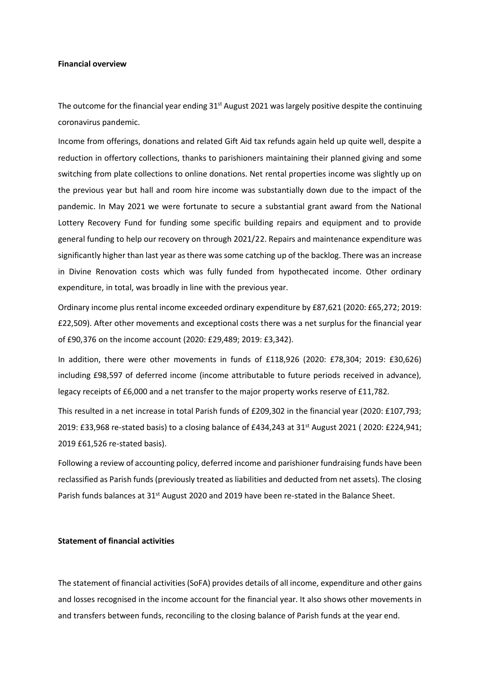#### **Financial overview**

The outcome for the financial year ending  $31<sup>st</sup>$  August 2021 was largely positive despite the continuing coronavirus pandemic.

Income from offerings, donations and related Gift Aid tax refunds again held up quite well, despite a reduction in offertory collections, thanks to parishioners maintaining their planned giving and some switching from plate collections to online donations. Net rental properties income was slightly up on the previous year but hall and room hire income was substantially down due to the impact of the pandemic. In May 2021 we were fortunate to secure a substantial grant award from the National Lottery Recovery Fund for funding some specific building repairs and equipment and to provide general funding to help our recovery on through 2021/22. Repairs and maintenance expenditure was significantly higher than last year as there was some catching up of the backlog. There was an increase in Divine Renovation costs which was fully funded from hypothecated income. Other ordinary expenditure, in total, was broadly in line with the previous year.

Ordinary income plus rental income exceeded ordinary expenditure by £87,621 (2020: £65,272; 2019: £22,509). After other movements and exceptional costs there was a net surplus for the financial year of £90,376 on the income account (2020: £29,489; 2019: £3,342).

In addition, there were other movements in funds of £118,926 (2020: £78,304; 2019: £30,626) including £98,597 of deferred income (income attributable to future periods received in advance), legacy receipts of £6,000 and a net transfer to the major property works reserve of £11,782.

This resulted in a net increase in total Parish funds of £209,302 in the financial year (2020: £107,793; 2019: £33,968 re-stated basis) to a closing balance of £434,243 at 31 st August 2021 ( 2020: £224,941; 2019 £61,526 re-stated basis).

Following a review of accounting policy, deferred income and parishioner fundraising funds have been reclassified as Parish funds (previously treated as liabilities and deducted from net assets). The closing Parish funds balances at 31<sup>st</sup> August 2020 and 2019 have been re-stated in the Balance Sheet.

## **Statement of financial activities**

The statement of financial activities (SoFA) provides details of all income, expenditure and other gains and losses recognised in the income account for the financial year. It also shows other movements in and transfers between funds, reconciling to the closing balance of Parish funds at the year end.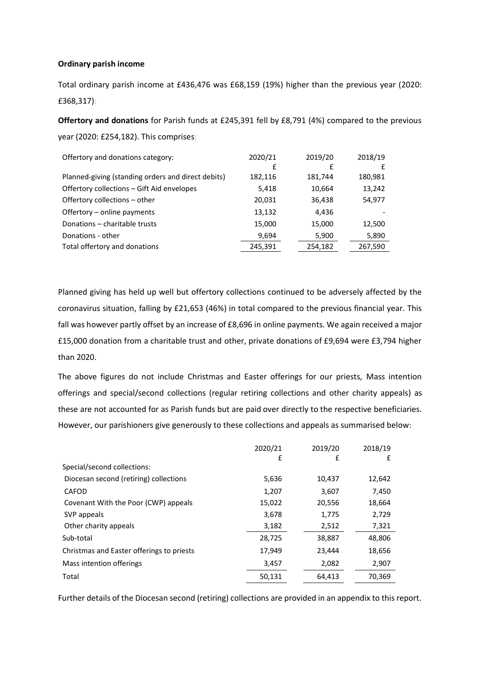## **Ordinary parish income**

Total ordinary parish income at £436,476 was £68,159 (19%) higher than the previous year (2020: £368,317):

**Offertory and donations** for Parish funds at £245,391 fell by £8,791 (4%) compared to the previous year (2020: £254,182). This comprises:

| Offertory and donations category:                  | 2020/21 | 2019/20 | 2018/19 |
|----------------------------------------------------|---------|---------|---------|
|                                                    | £       | £       | £       |
| Planned-giving (standing orders and direct debits) | 182,116 | 181,744 | 180,981 |
| Offertory collections - Gift Aid envelopes         | 5,418   | 10,664  | 13,242  |
| Offertory collections - other                      | 20,031  | 36,438  | 54,977  |
| Offertory - online payments                        | 13,132  | 4,436   |         |
| Donations - charitable trusts                      | 15,000  | 15,000  | 12,500  |
| Donations - other                                  | 9,694   | 5,900   | 5,890   |
| Total offertory and donations                      | 245,391 | 254,182 | 267,590 |

Planned giving has held up well but offertory collections continued to be adversely affected by the coronavirus situation, falling by £21,653 (46%) in total compared to the previous financial year. This fall was however partly offset by an increase of £8,696 in online payments. We again received a major £15,000 donation from a charitable trust and other, private donations of £9,694 were £3,794 higher than 2020.

The above figures do not include Christmas and Easter offerings for our priests, Mass intention offerings and special/second collections (regular retiring collections and other charity appeals) as these are not accounted for as Parish funds but are paid over directly to the respective beneficiaries. However, our parishioners give generously to these collections and appeals as summarised below:

|                                           | 2020/21 | 2019/20 | 2018/19 |
|-------------------------------------------|---------|---------|---------|
|                                           | £       | £       | £       |
| Special/second collections:               |         |         |         |
| Diocesan second (retiring) collections    | 5,636   | 10,437  | 12,642  |
| <b>CAFOD</b>                              | 1,207   | 3,607   | 7,450   |
| Covenant With the Poor (CWP) appeals      | 15,022  | 20,556  | 18,664  |
| SVP appeals                               | 3,678   | 1,775   | 2,729   |
| Other charity appeals                     | 3,182   | 2,512   | 7,321   |
| Sub-total                                 | 28,725  | 38,887  | 48,806  |
| Christmas and Easter offerings to priests | 17,949  | 23,444  | 18,656  |
| Mass intention offerings                  | 3,457   | 2,082   | 2,907   |
| Total                                     | 50,131  | 64,413  | 70,369  |

Further details of the Diocesan second (retiring) collections are provided in an appendix to this report.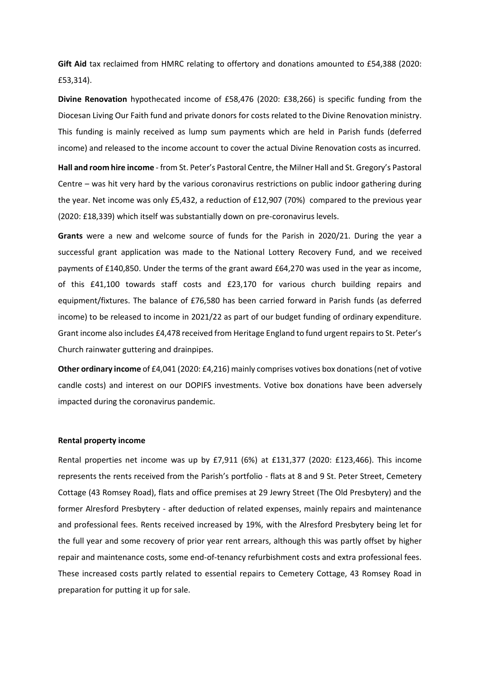**Gift Aid** tax reclaimed from HMRC relating to offertory and donations amounted to £54,388 (2020: £53,314).

**Divine Renovation** hypothecated income of £58,476 (2020: £38,266) is specific funding from the Diocesan Living Our Faith fund and private donors for costs related to the Divine Renovation ministry. This funding is mainly received as lump sum payments which are held in Parish funds (deferred income) and released to the income account to cover the actual Divine Renovation costs as incurred.

**Hall and room hire income** - from St. Peter's Pastoral Centre, the Milner Hall and St. Gregory's Pastoral Centre – was hit very hard by the various coronavirus restrictions on public indoor gathering during the year. Net income was only £5,432, a reduction of £12,907 (70%) compared to the previous year (2020: £18,339) which itself was substantially down on pre-coronavirus levels.

**Grants** were a new and welcome source of funds for the Parish in 2020/21. During the year a successful grant application was made to the National Lottery Recovery Fund, and we received payments of £140,850. Under the terms of the grant award £64,270 was used in the year as income, of this £41,100 towards staff costs and £23,170 for various church building repairs and equipment/fixtures. The balance of £76,580 has been carried forward in Parish funds (as deferred income) to be released to income in 2021/22 as part of our budget funding of ordinary expenditure. Grant income also includes £4,478 received from Heritage England to fund urgent repairs to St. Peter's Church rainwater guttering and drainpipes.

**Other ordinary income** of £4,041 (2020: £4,216) mainly comprises votives box donations (net of votive candle costs) and interest on our DOPIFS investments. Votive box donations have been adversely impacted during the coronavirus pandemic.

#### **Rental property income**

Rental properties net income was up by £7,911 (6%) at £131,377 (2020: £123,466). This income represents the rents received from the Parish's portfolio - flats at 8 and 9 St. Peter Street, Cemetery Cottage (43 Romsey Road), flats and office premises at 29 Jewry Street (The Old Presbytery) and the former Alresford Presbytery - after deduction of related expenses, mainly repairs and maintenance and professional fees. Rents received increased by 19%, with the Alresford Presbytery being let for the full year and some recovery of prior year rent arrears, although this was partly offset by higher repair and maintenance costs, some end-of-tenancy refurbishment costs and extra professional fees. These increased costs partly related to essential repairs to Cemetery Cottage, 43 Romsey Road in preparation for putting it up for sale.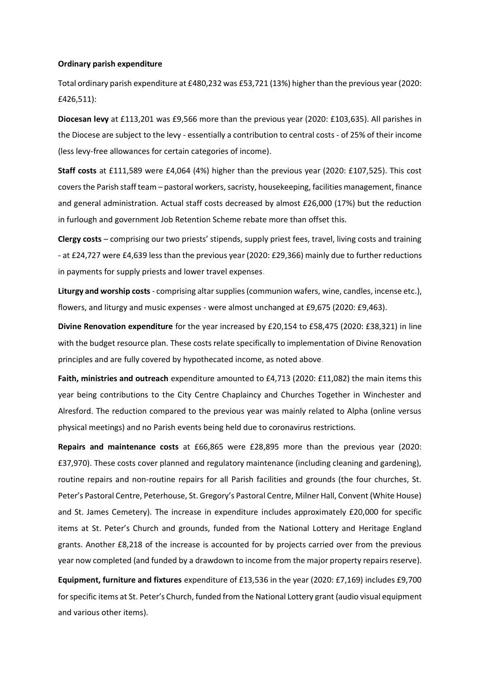#### **Ordinary parish expenditure**

Total ordinary parish expenditure at £480,232 was £53,721 (13%) higher than the previous year (2020: £426,511):

**Diocesan levy** at £113,201 was £9,566 more than the previous year (2020: £103,635). All parishes in the Diocese are subject to the levy - essentially a contribution to central costs - of 25% of their income (less levy-free allowances for certain categories of income).

**Staff costs** at £111,589 were £4,064 (4%) higher than the previous year (2020: £107,525). This cost covers the Parish staff team – pastoral workers, sacristy, housekeeping, facilities management, finance and general administration. Actual staff costs decreased by almost £26,000 (17%) but the reduction in furlough and government Job Retention Scheme rebate more than offset this.

**Clergy costs** – comprising our two priests' stipends, supply priest fees, travel, living costs and training - at £24,727 were £4,639 less than the previous year (2020: £29,366) mainly due to further reductions in payments for supply priests and lower travel expenses.

**Liturgy and worship costs** - comprising altar supplies (communion wafers, wine, candles, incense etc.), flowers, and liturgy and music expenses - were almost unchanged at £9,675 (2020: £9,463).

**Divine Renovation expenditure** for the year increased by £20,154 to £58,475 (2020: £38,321) in line with the budget resource plan. These costs relate specifically to implementation of Divine Renovation principles and are fully covered by hypothecated income, as noted above.

Faith, ministries and outreach expenditure amounted to £4,713 (2020: £11,082) the main items this year being contributions to the City Centre Chaplaincy and Churches Together in Winchester and Alresford. The reduction compared to the previous year was mainly related to Alpha (online versus physical meetings) and no Parish events being held due to coronavirus restrictions.

**Repairs and maintenance costs** at £66,865 were £28,895 more than the previous year (2020: £37,970). These costs cover planned and regulatory maintenance (including cleaning and gardening), routine repairs and non-routine repairs for all Parish facilities and grounds (the four churches, St. Peter's Pastoral Centre, Peterhouse, St. Gregory's Pastoral Centre, Milner Hall, Convent (White House) and St. James Cemetery). The increase in expenditure includes approximately £20,000 for specific items at St. Peter's Church and grounds, funded from the National Lottery and Heritage England grants. Another £8,218 of the increase is accounted for by projects carried over from the previous year now completed (and funded by a drawdown to income from the major property repairs reserve).

**Equipment, furniture and fixtures** expenditure of £13,536 in the year (2020: £7,169) includes £9,700 for specific items at St. Peter's Church, funded from the National Lottery grant (audio visual equipment and various other items).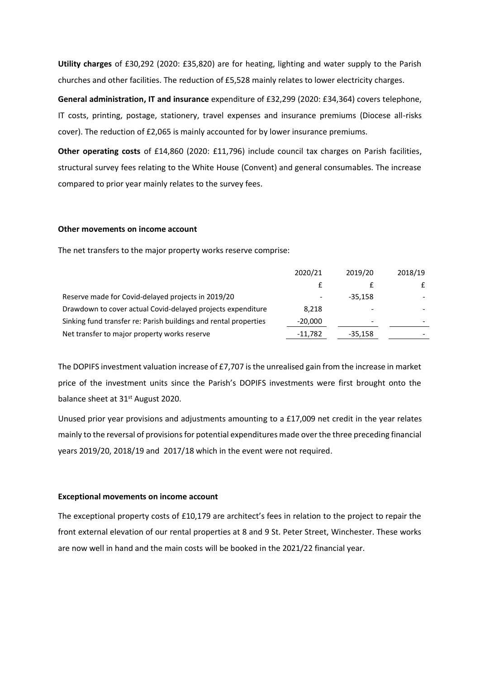**Utility charges** of £30,292 (2020: £35,820) are for heating, lighting and water supply to the Parish churches and other facilities. The reduction of £5,528 mainly relates to lower electricity charges.

**General administration, IT and insurance** expenditure of £32,299 (2020: £34,364) covers telephone, IT costs, printing, postage, stationery, travel expenses and insurance premiums (Diocese all-risks cover). The reduction of £2,065 is mainly accounted for by lower insurance premiums.

**Other operating costs** of £14,860 (2020: £11,796) include council tax charges on Parish facilities, structural survey fees relating to the White House (Convent) and general consumables. The increase compared to prior year mainly relates to the survey fees.

## **Other movements on income account**

The net transfers to the major property works reserve comprise:

|                                                                  | 2020/21   | 2019/20   | 2018/19 |
|------------------------------------------------------------------|-----------|-----------|---------|
|                                                                  |           |           | f       |
| Reserve made for Covid-delayed projects in 2019/20               |           | $-35.158$ |         |
| Drawdown to cover actual Covid-delayed projects expenditure      | 8,218     |           |         |
| Sinking fund transfer re: Parish buildings and rental properties | $-20,000$ |           |         |
| Net transfer to major property works reserve                     | $-11,782$ | $-35,158$ |         |

The DOPIFS investment valuation increase of £7,707 is the unrealised gain from the increase in market price of the investment units since the Parish's DOPIFS investments were first brought onto the balance sheet at 31<sup>st</sup> August 2020.

Unused prior year provisions and adjustments amounting to a £17,009 net credit in the year relates mainly to the reversal of provisions for potential expenditures made over the three preceding financial years 2019/20, 2018/19 and 2017/18 which in the event were not required.

#### **Exceptional movements on income account**

The exceptional property costs of £10,179 are architect's fees in relation to the project to repair the front external elevation of our rental properties at 8 and 9 St. Peter Street, Winchester. These works are now well in hand and the main costs will be booked in the 2021/22 financial year.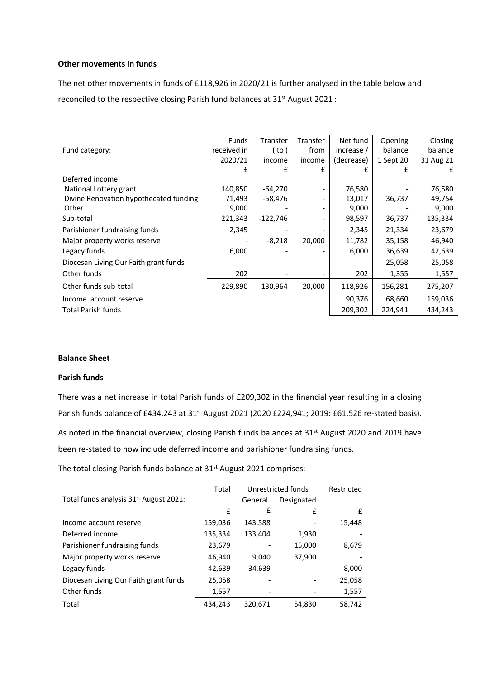## **Other movements in funds**

The net other movements in funds of £118,926 in 2020/21 is further analysed in the table below and reconciled to the respective closing Parish fund balances at 31<sup>st</sup> August 2021 :

|                                        | <b>Funds</b> | Transfer   | Transfer | Net fund   | Opening   | Closing   |
|----------------------------------------|--------------|------------|----------|------------|-----------|-----------|
| Fund category:                         | received in  | ( to )     | from     | increase / | balance   | balance   |
|                                        | 2020/21      | income     | income   | (decrease) | 1 Sept 20 | 31 Aug 21 |
|                                        | £            | £          | £        | £          | f         | £         |
| Deferred income:                       |              |            |          |            |           |           |
| National Lottery grant                 | 140,850      | $-64,270$  |          | 76,580     |           | 76,580    |
| Divine Renovation hypothecated funding | 71,493       | -58,476    |          | 13,017     | 36,737    | 49,754    |
| Other                                  | 9,000        |            |          | 9,000      |           | 9,000     |
| Sub-total                              | 221,343      | $-122,746$ |          | 98,597     | 36,737    | 135,334   |
| Parishioner fundraising funds          | 2,345        |            |          | 2,345      | 21,334    | 23,679    |
| Major property works reserve           |              | $-8,218$   | 20,000   | 11,782     | 35,158    | 46,940    |
| Legacy funds                           | 6,000        |            |          | 6,000      | 36,639    | 42,639    |
| Diocesan Living Our Faith grant funds  |              |            |          |            | 25,058    | 25,058    |
| Other funds                            | 202          |            |          | 202        | 1,355     | 1,557     |
| Other funds sub-total                  | 229,890      | $-130,964$ | 20,000   | 118,926    | 156,281   | 275,207   |
| Income account reserve                 |              |            |          | 90,376     | 68,660    | 159,036   |
| <b>Total Parish funds</b>              |              |            |          | 209,302    | 224,941   | 434,243   |

## **Balance Sheet**

## **Parish funds**

There was a net increase in total Parish funds of £209,302 in the financial year resulting in a closing Parish funds balance of £434,243 at 31<sup>st</sup> August 2021 (2020 £224,941; 2019: £61,526 re-stated basis). As noted in the financial overview, closing Parish funds balances at 31<sup>st</sup> August 2020 and 2019 have been re-stated to now include deferred income and parishioner fundraising funds.

The total closing Parish funds balance at 31<sup>st</sup> August 2021 comprises:

|                                                    | Total   | Unrestricted funds |            | Restricted |
|----------------------------------------------------|---------|--------------------|------------|------------|
| Total funds analysis 31 <sup>st</sup> August 2021: |         | General            | Designated |            |
|                                                    | £       | £                  | £          | £          |
| Income account reserve                             | 159,036 | 143,588            |            | 15,448     |
| Deferred income                                    | 135,334 | 133,404            | 1,930      |            |
| Parishioner fundraising funds                      | 23,679  |                    | 15,000     | 8,679      |
| Major property works reserve                       | 46,940  | 9.040              | 37,900     |            |
| Legacy funds                                       | 42,639  | 34,639             |            | 8,000      |
| Diocesan Living Our Faith grant funds              | 25,058  |                    |            | 25,058     |
| Other funds                                        | 1,557   |                    |            | 1,557      |
| Total                                              | 434,243 | 320,671            | 54,830     | 58,742     |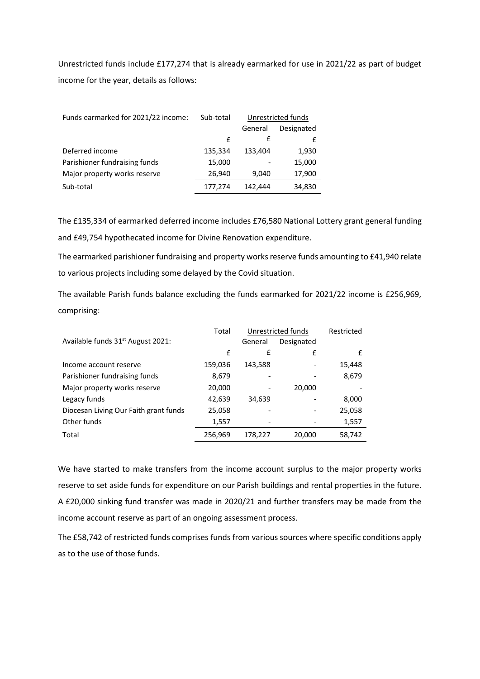Unrestricted funds include £177,274 that is already earmarked for use in 2021/22 as part of budget income for the year, details as follows:

| Funds earmarked for 2021/22 income: | Sub-total | Unrestricted funds |            |
|-------------------------------------|-----------|--------------------|------------|
|                                     |           | General            | Designated |
|                                     | f         | £                  |            |
| Deferred income                     | 135,334   | 133,404            | 1,930      |
| Parishioner fundraising funds       | 15,000    |                    | 15,000     |
| Major property works reserve        | 26,940    | 9,040              | 17,900     |
| Sub-total                           | 177,274   | 142.444            | 34,830     |

The £135,334 of earmarked deferred income includes £76,580 National Lottery grant general funding and £49,754 hypothecated income for Divine Renovation expenditure.

The earmarked parishioner fundraising and property works reserve funds amounting to £41,940 relate to various projects including some delayed by the Covid situation.

The available Parish funds balance excluding the funds earmarked for 2021/22 income is £256,969, comprising:

|                                               | Total   | Unrestricted funds           |            | Restricted |
|-----------------------------------------------|---------|------------------------------|------------|------------|
| Available funds 31 <sup>st</sup> August 2021: |         | General                      | Designated |            |
|                                               | £       | £                            | £          | f          |
| Income account reserve                        | 159,036 | 143,588                      |            | 15,448     |
| Parishioner fundraising funds                 | 8,679   |                              |            | 8,679      |
| Major property works reserve                  | 20,000  | $\qquad \qquad \blacksquare$ | 20,000     |            |
| Legacy funds                                  | 42,639  | 34,639                       |            | 8,000      |
| Diocesan Living Our Faith grant funds         | 25,058  |                              |            | 25,058     |
| Other funds                                   | 1,557   |                              |            | 1,557      |
| Total                                         | 256,969 | 178,227                      | 20,000     | 58,742     |

We have started to make transfers from the income account surplus to the major property works reserve to set aside funds for expenditure on our Parish buildings and rental properties in the future. A £20,000 sinking fund transfer was made in 2020/21 and further transfers may be made from the income account reserve as part of an ongoing assessment process.

The £58,742 of restricted funds comprises funds from various sources where specific conditions apply as to the use of those funds.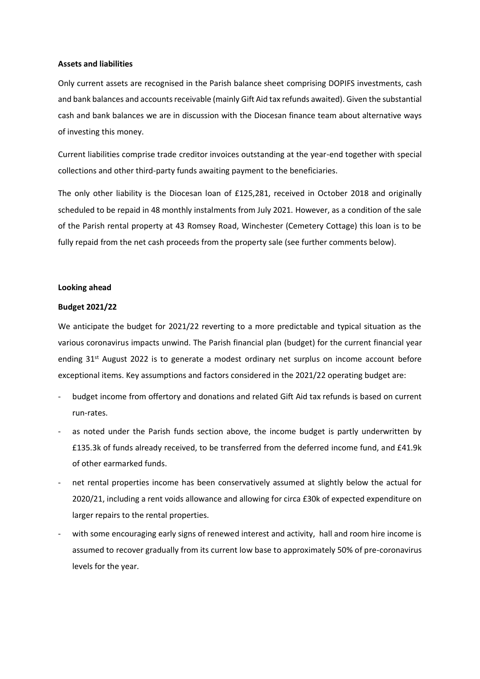### **Assets and liabilities**

Only current assets are recognised in the Parish balance sheet comprising DOPIFS investments, cash and bank balances and accounts receivable (mainly Gift Aid tax refunds awaited). Given the substantial cash and bank balances we are in discussion with the Diocesan finance team about alternative ways of investing this money.

Current liabilities comprise trade creditor invoices outstanding at the year-end together with special collections and other third-party funds awaiting payment to the beneficiaries.

The only other liability is the Diocesan loan of £125,281, received in October 2018 and originally scheduled to be repaid in 48 monthly instalments from July 2021. However, as a condition of the sale of the Parish rental property at 43 Romsey Road, Winchester (Cemetery Cottage) this loan is to be fully repaid from the net cash proceeds from the property sale (see further comments below).

## **Looking ahead**

#### **Budget 2021/22**

We anticipate the budget for 2021/22 reverting to a more predictable and typical situation as the various coronavirus impacts unwind. The Parish financial plan (budget) for the current financial year ending 31<sup>st</sup> August 2022 is to generate a modest ordinary net surplus on income account before exceptional items. Key assumptions and factors considered in the 2021/22 operating budget are:

- budget income from offertory and donations and related Gift Aid tax refunds is based on current run-rates.
- as noted under the Parish funds section above, the income budget is partly underwritten by £135.3k of funds already received, to be transferred from the deferred income fund, and £41.9k of other earmarked funds.
- net rental properties income has been conservatively assumed at slightly below the actual for 2020/21, including a rent voids allowance and allowing for circa £30k of expected expenditure on larger repairs to the rental properties.
- with some encouraging early signs of renewed interest and activity, hall and room hire income is assumed to recover gradually from its current low base to approximately 50% of pre-coronavirus levels for the year.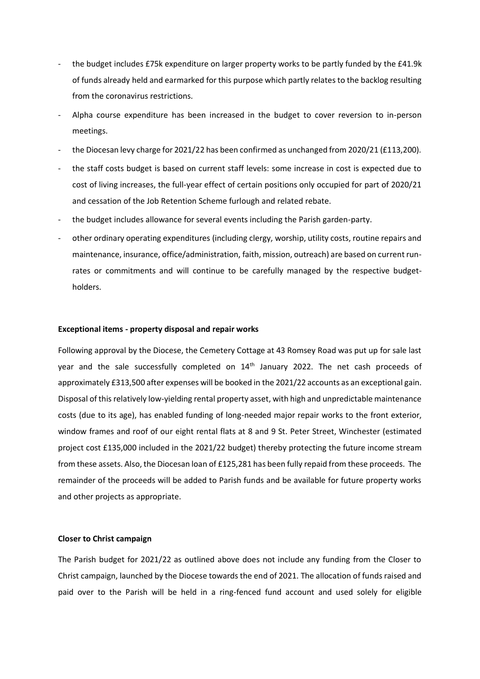- the budget includes £75k expenditure on larger property works to be partly funded by the £41.9k of funds already held and earmarked for this purpose which partly relates to the backlog resulting from the coronavirus restrictions.
- Alpha course expenditure has been increased in the budget to cover reversion to in-person meetings.
- the Diocesan levy charge for 2021/22 has been confirmed as unchanged from 2020/21 (£113,200).
- the staff costs budget is based on current staff levels: some increase in cost is expected due to cost of living increases, the full-year effect of certain positions only occupied for part of 2020/21 and cessation of the Job Retention Scheme furlough and related rebate.
- the budget includes allowance for several events including the Parish garden-party.
- other ordinary operating expenditures (including clergy, worship, utility costs, routine repairs and maintenance, insurance, office/administration, faith, mission, outreach) are based on current runrates or commitments and will continue to be carefully managed by the respective budgetholders.

#### **Exceptional items - property disposal and repair works**

Following approval by the Diocese, the Cemetery Cottage at 43 Romsey Road was put up for sale last year and the sale successfully completed on 14<sup>th</sup> January 2022. The net cash proceeds of approximately £313,500 after expenses will be booked in the 2021/22 accounts as an exceptional gain. Disposal of this relatively low-yielding rental property asset, with high and unpredictable maintenance costs (due to its age), has enabled funding of long-needed major repair works to the front exterior, window frames and roof of our eight rental flats at 8 and 9 St. Peter Street, Winchester (estimated project cost £135,000 included in the 2021/22 budget) thereby protecting the future income stream from these assets. Also, the Diocesan loan of £125,281 has been fully repaid from these proceeds. The remainder of the proceeds will be added to Parish funds and be available for future property works and other projects as appropriate.

## **Closer to Christ campaign**

The Parish budget for 2021/22 as outlined above does not include any funding from the Closer to Christ campaign, launched by the Diocese towards the end of 2021. The allocation of funds raised and paid over to the Parish will be held in a ring-fenced fund account and used solely for eligible